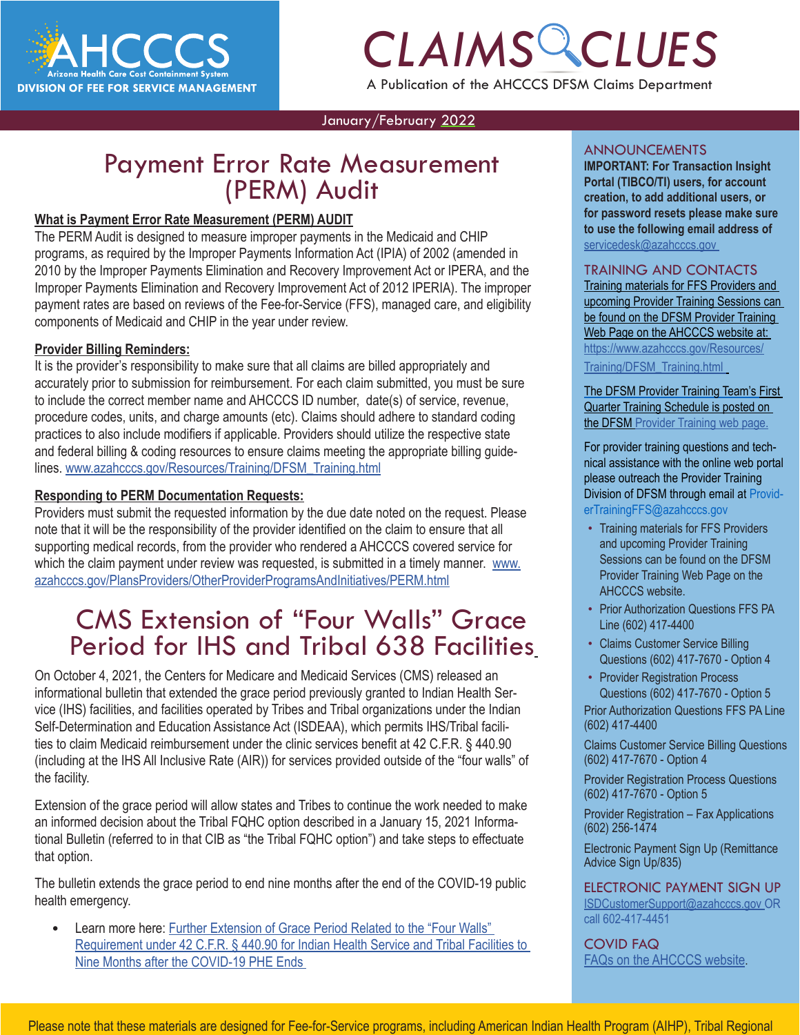

# *CLAIMS CLUES* A Publication of the AHCCCS DFSM Claims Department

January/February 2022

### Payment Error Rate Measurement (PERM) Audit

### **What is Payment Error Rate Measurement (PERM) AUDIT**

The PERM Audit is designed to measure improper payments in the Medicaid and CHIP programs, as required by the Improper Payments Information Act (IPIA) of 2002 (amended in 2010 by the Improper Payments Elimination and Recovery Improvement Act or IPERA, and the Improper Payments Elimination and Recovery Improvement Act of 2012 IPERIA). The improper payment rates are based on reviews of the Fee-for-Service (FFS), managed care, and eligibility components of Medicaid and CHIP in the year under review.

### **Provider Billing Reminders:**

It is the provider's responsibility to make sure that all claims are billed appropriately and accurately prior to submission for reimbursement. For each claim submitted, you must be sure to include the correct member name and AHCCCS ID number, date(s) of service, revenue, procedure codes, units, and charge amounts (etc). Claims should adhere to standard coding practices to also include modifiers if applicable. Providers should utilize the respective state and federal billing & coding resources to ensure claims meeting the appropriate billing guidelines. [www.azahcccs.gov/Resources/Training/DFSM\\_Training.html](https://www.azahcccs.gov/Resources/Training/DFSM_Training.html)

### **Responding to PERM Documentation Requests:**

Providers must submit the requested information by the due date noted on the request. Please note that it will be the responsibility of the provider identified on the claim to ensure that all supporting medical records, from the provider who rendered a AHCCCS covered service for which the claim payment under review was requested, is submitted in a timely manner. [www.](https://www.azahcccs.gov/PlansProviders/OtherProviderProgramsAndInitiatives/PERM.html) [azahcccs.gov/PlansProviders/OtherProviderProgramsAndInitiatives/PERM.html](https://www.azahcccs.gov/PlansProviders/OtherProviderProgramsAndInitiatives/PERM.html)

### CMS Extension of "Four Walls" Grace Period for IHS and Tribal 638 Facilities

On October 4, 2021, the Centers for Medicare and Medicaid Services (CMS) released an informational bulletin that extended the grace period previously granted to Indian Health Service (IHS) facilities, and facilities operated by Tribes and Tribal organizations under the Indian Self-Determination and Education Assistance Act (ISDEAA), which permits IHS/Tribal facilities to claim Medicaid reimbursement under the clinic services benefit at 42 C.F.R. § 440.90 (including at the IHS All Inclusive Rate (AIR)) for services provided outside of the "four walls" of the facility.

Extension of the grace period will allow states and Tribes to continue the work needed to make an informed decision about the Tribal FQHC option described in a January 15, 2021 Informational Bulletin (referred to in that CIB as "the Tribal FQHC option") and take steps to effectuate that option.

The bulletin extends the grace period to end nine months after the end of the COVID-19 public health emergency.

Learn more here: [Further Extension of Grace Period Related to the "Four Walls"](https://lnks.gd/l/eyJhbGciOiJIUzI1NiJ9.eyJidWxsZXRpbl9saW5rX2lkIjoxMDIsInVyaSI6ImJwMjpjbGljayIsImJ1bGxldGluX2lkIjoiMjAyMTEwMDQuNDY4NjM5MTEiLCJ1cmwiOiJodHRwczovL3d3dy5tZWRpY2FpZC5nb3YvZmVkZXJhbC1wb2xpY3ktZ3VpZGFuY2UvZG93bmxvYWRzL2NpYjEwNDIxLnBkZiJ9.R3HqSOkcu8zUlKfVU8l1mVtTT18iD-Lu6VnEUAZ6dyw/s/961331660/br/113334495527-l) [Requirement under 42 C.F.R. § 440.90 for Indian Health Service and Tribal Facilities to](https://lnks.gd/l/eyJhbGciOiJIUzI1NiJ9.eyJidWxsZXRpbl9saW5rX2lkIjoxMDIsInVyaSI6ImJwMjpjbGljayIsImJ1bGxldGluX2lkIjoiMjAyMTEwMDQuNDY4NjM5MTEiLCJ1cmwiOiJodHRwczovL3d3dy5tZWRpY2FpZC5nb3YvZmVkZXJhbC1wb2xpY3ktZ3VpZGFuY2UvZG93bmxvYWRzL2NpYjEwNDIxLnBkZiJ9.R3HqSOkcu8zUlKfVU8l1mVtTT18iD-Lu6VnEUAZ6dyw/s/961331660/br/113334495527-l)  [Nine Months after the COVID-19 PHE Ends](https://lnks.gd/l/eyJhbGciOiJIUzI1NiJ9.eyJidWxsZXRpbl9saW5rX2lkIjoxMDIsInVyaSI6ImJwMjpjbGljayIsImJ1bGxldGluX2lkIjoiMjAyMTEwMDQuNDY4NjM5MTEiLCJ1cmwiOiJodHRwczovL3d3dy5tZWRpY2FpZC5nb3YvZmVkZXJhbC1wb2xpY3ktZ3VpZGFuY2UvZG93bmxvYWRzL2NpYjEwNDIxLnBkZiJ9.R3HqSOkcu8zUlKfVU8l1mVtTT18iD-Lu6VnEUAZ6dyw/s/961331660/br/113334495527-l)

#### ANNOUNCEMENTS

**1 CMT**<br>**CCAI FORTANT:** For Transaction Insight<br>Portal (TIBCO/TI) users, for account<br>creation, to add additional users, or<br>for password resets please make sure **IMPORTANT: For Transaction Insight Portal (TIBCO/TI) users, for account creation, to add additional users, or for password resets please make sure to use the following email address of**  [servicedesk@azahcccs.gov](mailto:servicedesk%40azahcccs.gov?subject=)

#### TRAINING AND CONTACTS

Training materials for FFS Providers and upcoming Provider Training Sessions can be found on the DFSM Provider Training Web Page on the AHCCCS website at: [https://www.azahcccs.gov/Resources/](https://www.azahcccs.gov/Resources/Training/DFSM_Training.html) [Training/DFSM\\_Training.html](https://www.azahcccs.gov/Resources/Training/DFSM_Training.html)

The DFSM Provider Training Team's [First](https://www.azahcccs.gov/Resources/Downloads/DFMSTraining/2021/ProviderTrainingScheduleFourthQuarter2021.pdf)  [Quarter Training Schedule](https://www.azahcccs.gov/Resources/Downloads/DFMSTraining/2021/ProviderTrainingScheduleFourthQuarter2021.pdf) is posted on the [DFSM Provider Training web page](https://www.azahcccs.gov/Resources/Training/DFSM_Training.html).

For provider training questions and technical assistance with the online web portal please outreach the Provider Training Division of DFSM through email at [Provid-](mailto:ProviderTrainingFFS@azahcccs.gov)

[erTrainingFFS@azahcccs.gov](mailto:ProviderTrainingFFS@azahcccs.gov)

- Training materials for FFS Providers and upcoming Provider Training Sessions can be found on the DFSM Provider Training Web Page on the AHCCCS website.
- Prior Authorization Questions FFS PA Line (602) 417-4400
- Claims Customer Service Billing Questions (602) 417-7670 - Option 4
- Provider Registration Process Questions (602) 417-7670 - Option 5

Prior Authorization Questions FFS PA Line (602) 417-4400

Claims Customer Service Billing Questions (602) 417-7670 - Option 4

Provider Registration Process Questions (602) 417-7670 - Option 5

Provider Registration – Fax Applications (602) 256-1474

Electronic Payment Sign Up (Remittance Advice Sign Up/835)

ELECTRONIC PAYMENT SIGN UP [ISDCustomerSupport@azahcccs.gov](https://azahcccs.gov/AHCCCS/AboutUs/covid19FAQ.html) OR [call 602-417-4451](https://azahcccs.gov/AHCCCS/AboutUs/covid19FAQ.html)

[COVID FAQ](https://azahcccs.gov/AHCCCS/AboutUs/covid19FAQ.html)  [FAQs on the AHCCCS website.](https://azahcccs.gov/AHCCCS/AboutUs/covid19FAQ.html)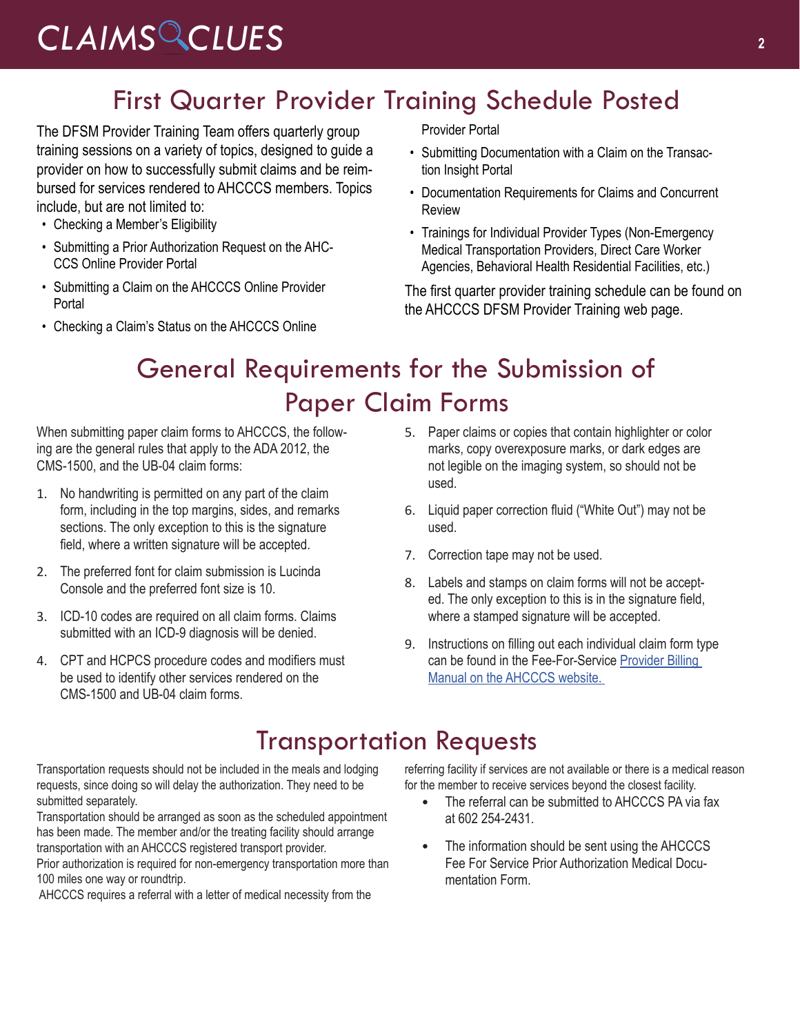### First Quarter Provider Training Schedule Posted

The DFSM Provider Training Team offers quarterly group training sessions on a variety of topics, designed to guide a provider on how to successfully submit claims and be reimbursed for services rendered to AHCCCS members. Topics include, but are not limited to:

- Checking a Member's Eligibility
- Submitting a Prior Authorization Request on the AHC-CCS Online Provider Portal
- Submitting a Claim on the AHCCCS Online Provider Portal
- Checking a Claim's Status on the AHCCCS Online

Provider Portal

- Submitting Documentation with a Claim on the Transaction Insight Portal
- Documentation Requirements for Claims and Concurrent Review
- Trainings for Individual Provider Types (Non-Emergency Medical Transportation Providers, Direct Care Worker Agencies, Behavioral Health Residential Facilities, etc.)

The first quarter provider training schedule can be found on the AHCCCS DFSM Provider Training web page.

## General Requirements for the Submission of Paper Claim Forms

When submitting paper claim forms to AHCCCS, the following are the general rules that apply to the ADA 2012, the CMS-1500, and the UB-04 claim forms:

- 1. No handwriting is permitted on any part of the claim form, including in the top margins, sides, and remarks sections. The only exception to this is the signature field, where a written signature will be accepted.
- 2. The preferred font for claim submission is Lucinda Console and the preferred font size is 10.
- 3. ICD-10 codes are required on all claim forms. Claims submitted with an ICD-9 diagnosis will be denied.
- 4. CPT and HCPCS procedure codes and modifiers must be used to identify other services rendered on the CMS-1500 and UB-04 claim forms.
- 5. Paper claims or copies that contain highlighter or color marks, copy overexposure marks, or dark edges are not legible on the imaging system, so should not be used.
- 6. Liquid paper correction fluid ("White Out") may not be used.
- 7. Correction tape may not be used.
- 8. Labels and stamps on claim forms will not be accepted. The only exception to this is in the signature field, where a stamped signature will be accepted.
- 9. Instructions on filling out each individual claim form type can be found in the Fee-For-Service [Provider Billing](https://www.azahcccs.gov/PlansProviders/RatesAndBilling/FFS/providermanual.html)  [Manual on the AHCCCS website](https://www.azahcccs.gov/PlansProviders/RatesAndBilling/FFS/providermanual.html).

### Transportation Requests

Transportation requests should not be included in the meals and lodging requests, since doing so will delay the authorization. They need to be submitted separately.

Transportation should be arranged as soon as the scheduled appointment has been made. The member and/or the treating facility should arrange transportation with an AHCCCS registered transport provider.

Prior authorization is required for non-emergency transportation more than 100 miles one way or roundtrip.

AHCCCS requires a referral with a letter of medical necessity from the

referring facility if services are not available or there is a medical reason for the member to receive services beyond the closest facility.

- The referral can be submitted to AHCCCS PA via fax at 602 254-2431.
- The information should be sent using the AHCCCS [Fee For Service Prior Authorization Medical Docu](https://www.azahcccs.gov/PlansProviders/Downloads/PriorAuthorizations/PAMedicalDocumentationForm.pdf)[mentation Form](https://www.azahcccs.gov/PlansProviders/Downloads/PriorAuthorizations/PAMedicalDocumentationForm.pdf).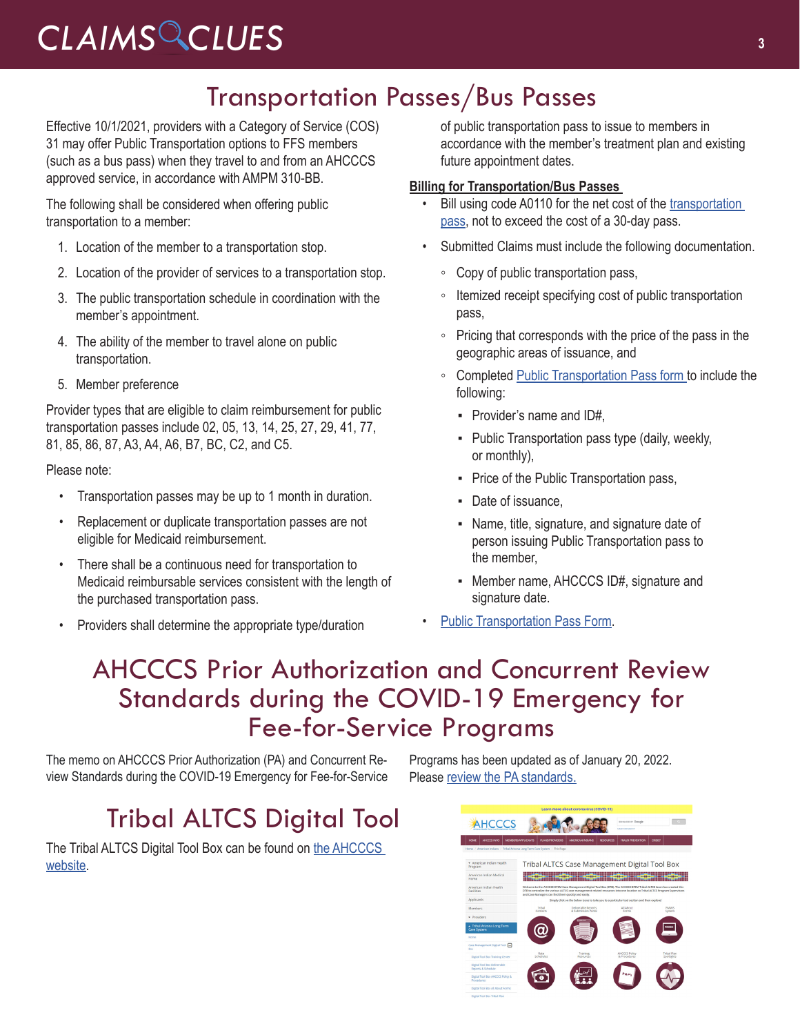## Transportation Passes/Bus Passes

Effective 10/1/2021, providers with a Category of Service (COS) 31 may offer Public Transportation options to FFS members (such as a bus pass) when they travel to and from an AHCCCS approved service, in accordance with AMPM 310-BB.

The following shall be considered when offering public transportation to a member:

- 1. Location of the member to a transportation stop.
- 2. Location of the provider of services to a transportation stop.
- 3. The public transportation schedule in coordination with the member's appointment.
- 4. The ability of the member to travel alone on public transportation.
- 5. Member preference

Provider types that are eligible to claim reimbursement for public transportation passes include 02, 05, 13, 14, 25, 27, 29, 41, 77, 81, 85, 86, 87, A3, A4, A6, B7, BC, C2, and C5.

Please note:

- Transportation passes may be up to 1 month in duration.
- Replacement or duplicate transportation passes are not eligible for Medicaid reimbursement.
- There shall be a continuous need for transportation to Medicaid reimbursable services consistent with the length of the purchased transportation pass.
- Providers shall determine the appropriate type/duration

of public transportation pass to issue to members in accordance with the member's treatment plan and existing future appointment dates.

### **Billing for Transportation/Bus Passes**

- Bill using code A0110 for the net cost of the transportation [pass](https://www.azahcccs.gov/PlansProviders/Downloads/FFSProviderManual/FFSChap_14TransportationExhibit4.pdf), not to exceed the cost of a 30-day pass.
- Submitted Claims must include the following documentation.
	- Copy of public transportation pass,
	- Itemized receipt specifying cost of public transportation pass,
	- Pricing that corresponds with the price of the pass in the geographic areas of issuance, and
	- Completed [Public Transportation Pass form t](https://www.azahcccs.gov/PlansProviders/Downloads/FFSProviderManual/FFSChap_14TransportationExhibit4.pdf 
)o include the following:
		- Provider's name and ID#,
		- **Public Transportation pass type (daily, weekly,** or monthly),
		- Price of the Public Transportation pass,
		- Date of issuance.
		- **EXE** Name, title, signature, and signature date of person issuing Public Transportation pass to the member,
		- Member name, AHCCCS ID#, signature and signature date.
- [Public Transportation Pass Form](https://www.azahcccs.gov/PlansProviders/Downloads/FFSProviderManual/FFSChap_14TransportationExhibit4.pdf 
).

### AHCCCS Prior Authorization and Concurrent Review Standards during the COVID-19 Emergency for Fee-for-Service Programs

The memo on AHCCCS Prior Authorization (PA) and Concurrent Review Standards during the COVID-19 Emergency for Fee-for-Service

# Tribal ALTCS Digital Tool

The Tribal ALTCS Digital Tool Box can be found on [the AHCCCS](https://www.azahcccs.gov/AmericanIndians/LongTermCareCaseManagement/CaseToolManagementDigitalToolBox/index.html)  [website.](https://www.azahcccs.gov/AmericanIndians/LongTermCareCaseManagement/CaseToolManagementDigitalToolBox/index.html)

Programs has been updated as of January 20, 2022. Please [review the PA standards.](https://azahcccs.gov/AHCCCS/Downloads/COVID19/AHCCCSPAandCRStandardsCOVID19.pdf)

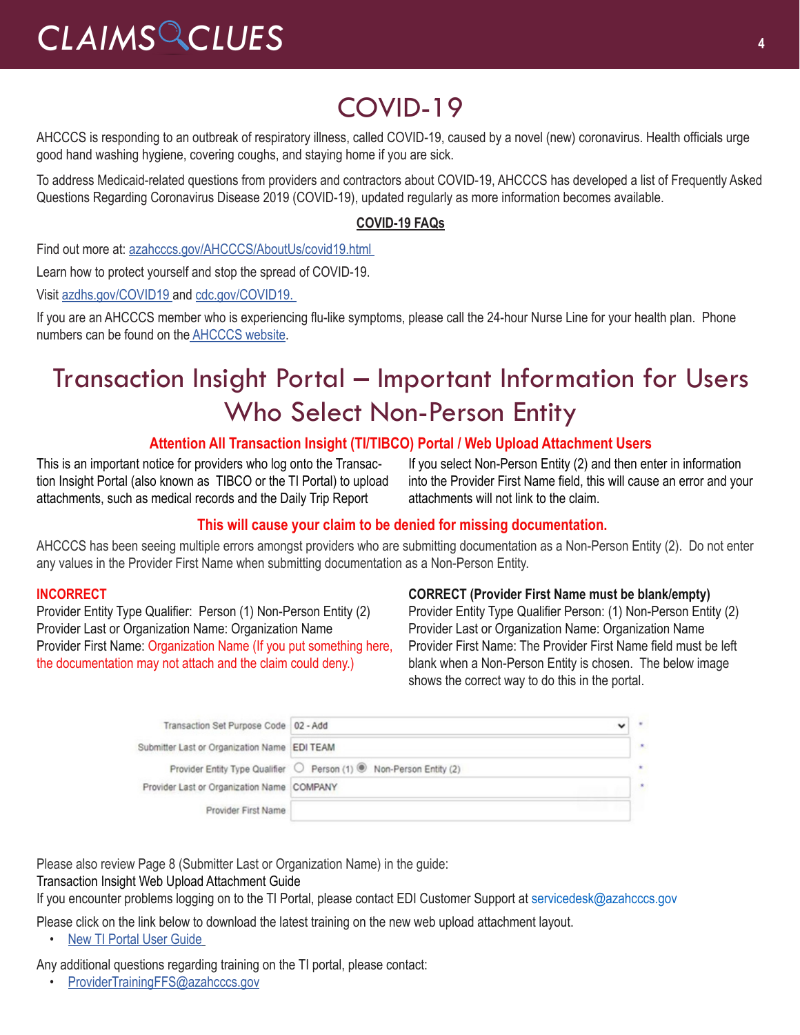# COVID-19

AHCCCS is responding to an outbreak of respiratory illness, called COVID-19, caused by a novel (new) coronavirus. Health officials urge good hand washing hygiene, covering coughs, and staying home if you are sick.

To address Medicaid-related questions from providers and contractors about COVID-19, AHCCCS has developed a list of Frequently Asked Questions Regarding Coronavirus Disease 2019 (COVID-19), updated regularly as more information becomes available.

### **[COVID-19 FAQs](https://azahcccs.gov/AHCCCS/AboutUs/covid19FAQ.html%22%20/t%20%22_blank)**

Find out more at: [azahcccs.gov/AHCCCS/AboutUs/covid19.html](https://azahcccs.gov/AHCCCS/AboutUs/covid19.html ) 

Learn how to protect yourself and stop the spread of COVID-19.

Visit [azdhs.gov/COVID19](https://azdhs.gov/covid19%22%20/t%20%22_blank) and [cdc.gov/COVID19](https://www.cdc.gov/covid19).

If you are an AHCCCS member who is experiencing flu-like symptoms, please call the 24-hour Nurse Line for your health plan. Phone numbers can be found on th[e AHCCCS website.](https://azahcccs.gov/AHCCCS/AboutUs/covid19.html)

## Transaction Insight Portal – Important Information for Users Who Select Non-Person Entity

### **Attention All Transaction Insight (TI/TIBCO) Portal / Web Upload Attachment Users**

This is an important notice for providers who log onto the Transaction Insight Portal (also known as TIBCO or the TI Portal) to upload attachments, such as medical records and the Daily Trip Report

If you select Non-Person Entity (2) and then enter in information into the Provider First Name field, this will cause an error and your attachments will not link to the claim.

### **This will cause your claim to be denied for missing documentation.**

AHCCCS has been seeing multiple errors amongst providers who are submitting documentation as a Non-Person Entity (2). Do not enter any values in the Provider First Name when submitting documentation as a Non-Person Entity.

### **INCORRECT**

Provider Entity Type Qualifier: Person (1) Non-Person Entity (2) Provider Last or Organization Name: Organization Name Provider First Name: Organization Name (If you put something here, the documentation may not attach and the claim could deny.)

#### **CORRECT (Provider First Name must be blank/empty)**

Provider Entity Type Qualifier Person: (1) Non-Person Entity (2) Provider Last or Organization Name: Organization Name Provider First Name: The Provider First Name field must be left blank when a Non-Person Entity is chosen. The below image shows the correct way to do this in the portal.

| Transaction Set Purpose Code   02 - Add      |                                                                                  |  |
|----------------------------------------------|----------------------------------------------------------------------------------|--|
| Submitter Last or Organization Name EDI TEAM |                                                                                  |  |
|                                              | Provider Entity Type Qualifier ◯ Person (1) <sup>(6)</sup> Non-Person Entity (2) |  |
| Provider Last or Organization Name COMPANY   |                                                                                  |  |
| Provider First Name                          |                                                                                  |  |

Please also review Page 8 (Submitter Last or Organization Name) in the guide:

[Transaction Insight Web Upload Attachment Guide](https://www.azahcccs.gov/Resources/Downloads/DFMSTraining/2018/TransactionInsight_TI_PortalWebUploadAttachmentGuide.pdf)

If you encounter problems logging on to the TI Portal, please contact EDI Customer Support at [servicedesk@azahcccs.gov](mailto:servicedesk@azahcccs.gov)

Please click on the link below to download the latest training on the new web upload attachment layout.

• [New TI Portal User Guide](http://files.constantcontact.com/6b827043601/e18b3a77-26ca-4030-93a7-6815b9731fb6.pdf%22%20/t%20%22_blank)

Any additional questions regarding training on the TI portal, please contact:

• [ProviderTrainingFFS@azahcccs.gov](about:blank)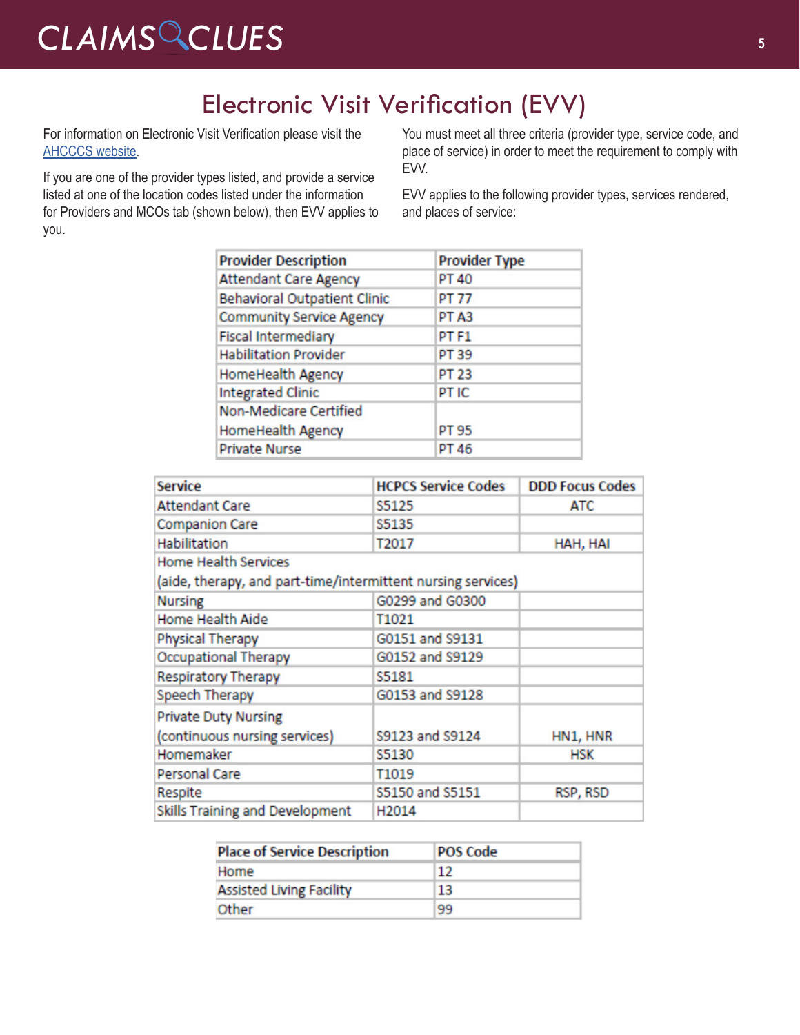# Electronic Visit Verification (EVV)

For information on Electronic Visit Verification please visit the [AHCCCS website](https://www.azahcccs.gov/AHCCCS/Initiatives/EVV/).

If you are one of the provider types listed, and provide a service listed at one of the location codes listed under the information for Providers and MCOs tab (shown below), then EVV applies to you.

You must meet all three criteria (provider type, service code, and place of service) in order to meet the requirement to comply with EVV.

EVV applies to the following provider types, services rendered, and places of service:

| <b>Provider Description</b>         | <b>Provider Type</b> |
|-------------------------------------|----------------------|
| <b>Attendant Care Agency</b>        | <b>PT 40</b>         |
| <b>Behavioral Outpatient Clinic</b> | PT 77                |
| <b>Community Service Agency</b>     | PT <sub>A3</sub>     |
| <b>Fiscal Intermediary</b>          | PT <sub>F1</sub>     |
| <b>Habilitation Provider</b>        | PT 39                |
| HomeHealth Agency                   | <b>PT 23</b>         |
| <b>Integrated Clinic</b>            | PT IC                |
| <b>Non-Medicare Certified</b>       |                      |
| HomeHealth Agency                   | PT 95                |
| <b>Private Nurse</b>                | PT 46                |

| <b>Service</b>                                               | <b>HCPCS Service Codes</b> | <b>DDD Focus Codes</b> |  |  |  |
|--------------------------------------------------------------|----------------------------|------------------------|--|--|--|
| <b>Attendant Care</b>                                        | S5125                      | <b>ATC</b>             |  |  |  |
| <b>Companion Care</b>                                        | S5135                      |                        |  |  |  |
| Habilitation                                                 | T2017                      | HAH, HAI               |  |  |  |
| <b>Home Health Services</b>                                  |                            |                        |  |  |  |
| (aide, therapy, and part-time/intermittent nursing services) |                            |                        |  |  |  |
| <b>Nursing</b>                                               | G0299 and G0300            |                        |  |  |  |
| <b>Home Health Aide</b>                                      | T1021                      |                        |  |  |  |
| Physical Therapy                                             | G0151 and S9131            |                        |  |  |  |
| <b>Occupational Therapy</b>                                  | G0152 and S9129            |                        |  |  |  |
| <b>Respiratory Therapy</b>                                   | S5181                      |                        |  |  |  |
| Speech Therapy                                               | G0153 and S9128            |                        |  |  |  |
| <b>Private Duty Nursing</b>                                  |                            |                        |  |  |  |
| (continuous nursing services)                                | S9123 and S9124            | HN1, HNR               |  |  |  |
| Homemaker                                                    | S5130                      | <b>HSK</b>             |  |  |  |
| Personal Care                                                | T1019                      |                        |  |  |  |
| Respite                                                      | S5150 and S5151            | RSP, RSD               |  |  |  |
| Skills Training and Development                              | H <sub>2014</sub>          |                        |  |  |  |

| <b>Place of Service Description</b> | <b>POS Code</b> |  |
|-------------------------------------|-----------------|--|
| Home                                | $12^{12}$       |  |
| <b>Assisted Living Facility</b>     | 13              |  |
| Other                               | 99              |  |